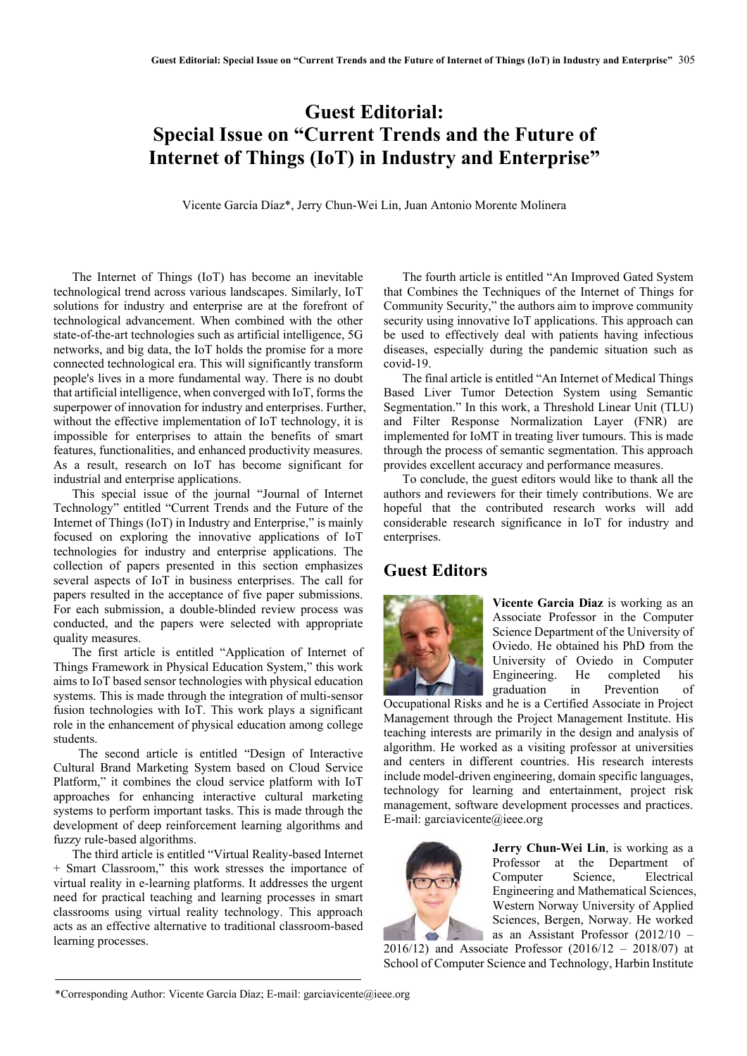## **Guest Editorial: Special Issue on "Current Trends and the Future of Internet of Things (IoT) in Industry and Enterprise"**

Vicente García Díaz\*, Jerry Chun-Wei Lin, Juan Antonio Morente Molinera

The Internet of Things (IoT) has become an inevitable technological trend across various landscapes. Similarly, IoT solutions for industry and enterprise are at the forefront of technological advancement. When combined with the other state-of-the-art technologies such as artificial intelligence, 5G networks, and big data, the IoT holds the promise for a more connected technological era. This will significantly transform people's lives in a more fundamental way. There is no doubt that artificial intelligence, when converged with IoT, forms the superpower of innovation for industry and enterprises. Further, without the effective implementation of IoT technology, it is impossible for enterprises to attain the benefits of smart features, functionalities, and enhanced productivity measures. As a result, research on IoT has become significant for industrial and enterprise applications.

This special issue of the journal "Journal of Internet Technology" entitled "Current Trends and the Future of the Internet of Things (IoT) in Industry and Enterprise," is mainly focused on exploring the innovative applications of IoT technologies for industry and enterprise applications. The collection of papers presented in this section emphasizes several aspects of IoT in business enterprises. The call for papers resulted in the acceptance of five paper submissions. For each submission, a double-blinded review process was conducted, and the papers were selected with appropriate quality measures.

The first article is entitled "Application of Internet of Things Framework in Physical Education System," this work aims to IoT based sensor technologies with physical education systems. This is made through the integration of multi-sensor fusion technologies with IoT. This work plays a significant role in the enhancement of physical education among college students.

The second article is entitled "Design of Interactive Cultural Brand Marketing System based on Cloud Service Platform," it combines the cloud service platform with IoT approaches for enhancing interactive cultural marketing systems to perform important tasks. This is made through the development of deep reinforcement learning algorithms and fuzzy rule-based algorithms.

The third article is entitled "Virtual Reality-based Internet + Smart Classroom," this work stresses the importance of virtual reality in e-learning platforms. It addresses the urgent need for practical teaching and learning processes in smart classrooms using virtual reality technology. This approach acts as an effective alternative to traditional classroom-based learning processes.

The fourth article is entitled "An Improved Gated System that Combines the Techniques of the Internet of Things for Community Security," the authors aim to improve community security using innovative IoT applications. This approach can be used to effectively deal with patients having infectious diseases, especially during the pandemic situation such as covid-19.

The final article is entitled "An Internet of Medical Things Based Liver Tumor Detection System using Semantic Segmentation." In this work, a Threshold Linear Unit (TLU) and Filter Response Normalization Layer (FNR) are implemented for IoMT in treating liver tumours. This is made through the process of semantic segmentation. This approach provides excellent accuracy and performance measures.

To conclude, the guest editors would like to thank all the authors and reviewers for their timely contributions. We are hopeful that the contributed research works will add considerable research significance in IoT for industry and enterprises.

## **Guest Editors**



**Vicente Garcia Diaz** is working as an Associate Professor in the Computer Science Department of the University of Oviedo. He obtained his PhD from the University of Oviedo in Computer Engineering. He completed his graduation in Prevention of

Occupational Risks and he is a Certified Associate in Project Management through the Project Management Institute. His teaching interests are primarily in the design and analysis of algorithm. He worked as a visiting professor at universities and centers in different countries. His research interests include model-driven engineering, domain specific languages, technology for learning and entertainment, project risk management, software development processes and practices. E-mail: garciavicente@ieee.org



**Jerry Chun-Wei Lin**, is working as a Professor at the Department of Computer Science, Electrical Engineering and Mathematical Sciences, Western Norway University of Applied Sciences, Bergen, Norway. He worked as an Assistant Professor (2012/10 –

2016/12) and Associate Professor (2016/12 – 2018/07) at School of Computer Science and Technology, Harbin Institute

<sup>\*</sup>Corresponding Author: Vicente García Díaz; E-mail: garciavicente@ieee.org